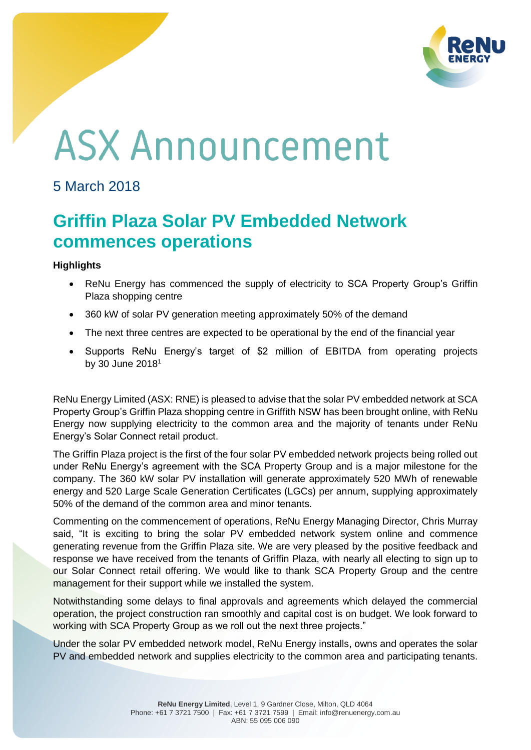

# **ASX Announcement**

## 5 March 2018

# **Griffin Plaza Solar PV Embedded Network commences operations**

### **Highlights**

- ReNu Energy has commenced the supply of electricity to SCA Property Group's Griffin Plaza shopping centre
- 360 kW of solar PV generation meeting approximately 50% of the demand
- The next three centres are expected to be operational by the end of the financial year
- Supports ReNu Energy's target of \$2 million of EBITDA from operating projects by 30 June 2018<sup>1</sup>

ReNu Energy Limited (ASX: RNE) is pleased to advise that the solar PV embedded network at SCA Property Group's Griffin Plaza shopping centre in Griffith NSW has been brought online, with ReNu Energy now supplying electricity to the common area and the majority of tenants under ReNu Energy's Solar Connect retail product.

The Griffin Plaza project is the first of the four solar PV embedded network projects being rolled out under ReNu Energy's agreement with the SCA Property Group and is a major milestone for the company. The 360 kW solar PV installation will generate approximately 520 MWh of renewable energy and 520 Large Scale Generation Certificates (LGCs) per annum, supplying approximately 50% of the demand of the common area and minor tenants.

Commenting on the commencement of operations, ReNu Energy Managing Director, Chris Murray said, "It is exciting to bring the solar PV embedded network system online and commence generating revenue from the Griffin Plaza site. We are very pleased by the positive feedback and response we have received from the tenants of Griffin Plaza, with nearly all electing to sign up to our Solar Connect retail offering. We would like to thank SCA Property Group and the centre management for their support while we installed the system.

Notwithstanding some delays to final approvals and agreements which delayed the commercial operation, the project construction ran smoothly and capital cost is on budget. We look forward to working with SCA Property Group as we roll out the next three projects."

Under the solar PV embedded network model, ReNu Energy installs, owns and operates the solar PV and embedded network and supplies electricity to the common area and participating tenants.